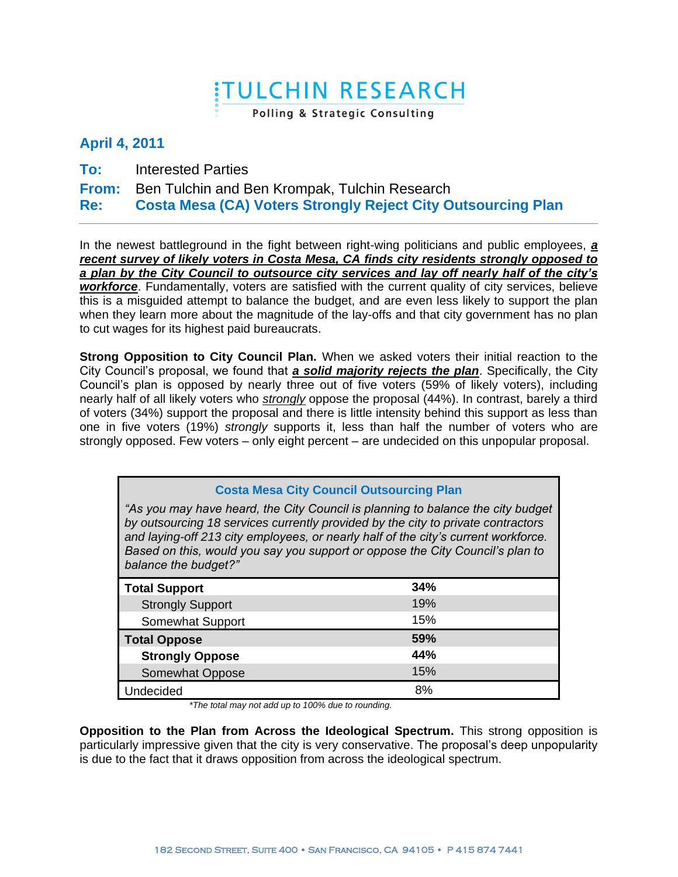## **ITULCHIN RESEARCH**

Polling & Strategic Consulting

## **April 4, 2011**

- **To:** Interested Parties
- **From:** Ben Tulchin and Ben Krompak, Tulchin Research

**Re: Costa Mesa (CA) Voters Strongly Reject City Outsourcing Plan**

In the newest battleground in the fight between right-wing politicians and public employees, *a recent survey of likely voters in Costa Mesa, CA finds city residents strongly opposed to a plan by the City Council to outsource city services and lay off nearly half of the city's workforce*. Fundamentally, voters are satisfied with the current quality of city services, believe this is a misguided attempt to balance the budget, and are even less likely to support the plan when they learn more about the magnitude of the lay-offs and that city government has no plan to cut wages for its highest paid bureaucrats.

**Strong Opposition to City Council Plan.** When we asked voters their initial reaction to the City Council's proposal, we found that *a solid majority rejects the plan*. Specifically, the City Council's plan is opposed by nearly three out of five voters (59% of likely voters), including nearly half of all likely voters who *strongly* oppose the proposal (44%). In contrast, barely a third of voters (34%) support the proposal and there is little intensity behind this support as less than one in five voters (19%) *strongly* supports it, less than half the number of voters who are strongly opposed. Few voters – only eight percent – are undecided on this unpopular proposal.

| <b>Costa Mesa City Council Outsourcing Plan</b>                                                                                                                                                                                                                                                                                                                    |     |  |  |  |
|--------------------------------------------------------------------------------------------------------------------------------------------------------------------------------------------------------------------------------------------------------------------------------------------------------------------------------------------------------------------|-----|--|--|--|
| "As you may have heard, the City Council is planning to balance the city budget<br>by outsourcing 18 services currently provided by the city to private contractors<br>and laying-off 213 city employees, or nearly half of the city's current workforce.<br>Based on this, would you say you support or oppose the City Council's plan to<br>balance the budget?" |     |  |  |  |
| <b>Total Support</b>                                                                                                                                                                                                                                                                                                                                               | 34% |  |  |  |
| <b>Strongly Support</b>                                                                                                                                                                                                                                                                                                                                            | 19% |  |  |  |
| Somewhat Support                                                                                                                                                                                                                                                                                                                                                   | 15% |  |  |  |
| <b>Total Oppose</b>                                                                                                                                                                                                                                                                                                                                                | 59% |  |  |  |
| <b>Strongly Oppose</b>                                                                                                                                                                                                                                                                                                                                             | 44% |  |  |  |
| Somewhat Oppose                                                                                                                                                                                                                                                                                                                                                    | 15% |  |  |  |
| Undecided                                                                                                                                                                                                                                                                                                                                                          | 8%  |  |  |  |

*\*The total may not add up to 100% due to rounding.*

**Opposition to the Plan from Across the Ideological Spectrum.** This strong opposition is particularly impressive given that the city is very conservative. The proposal's deep unpopularity is due to the fact that it draws opposition from across the ideological spectrum.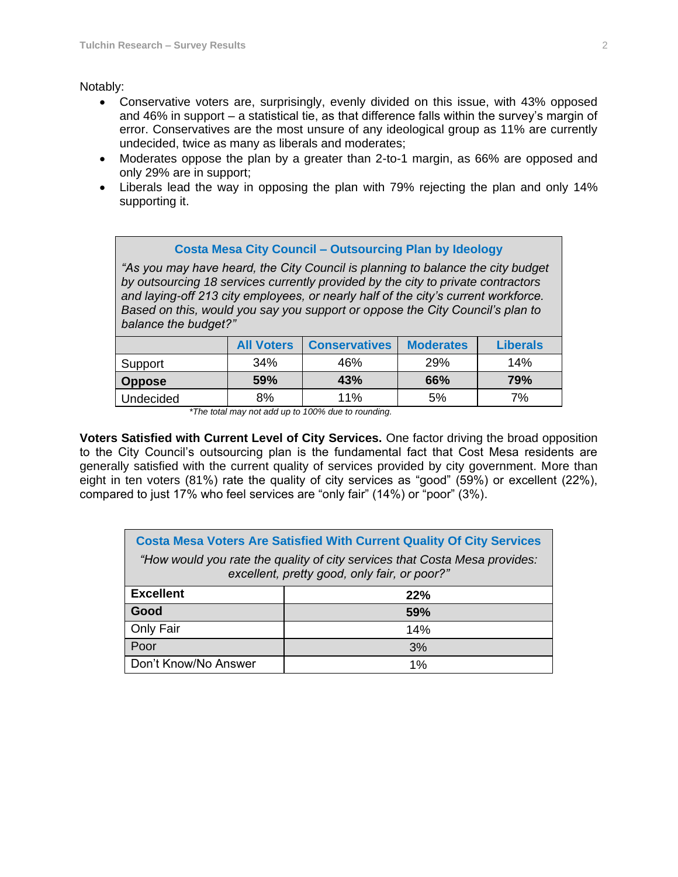## Notably:

- Conservative voters are, surprisingly, evenly divided on this issue, with 43% opposed and 46% in support – a statistical tie, as that difference falls within the survey's margin of error. Conservatives are the most unsure of any ideological group as 11% are currently undecided, twice as many as liberals and moderates;
- Moderates oppose the plan by a greater than 2-to-1 margin, as 66% are opposed and only 29% are in support;
- Liberals lead the way in opposing the plan with 79% rejecting the plan and only 14% supporting it.

| <b>Costa Mesa City Council - Outsourcing Plan by Ideology</b><br>"As you may have heard, the City Council is planning to balance the city budget<br>by outsourcing 18 services currently provided by the city to private contractors<br>and laying-off 213 city employees, or nearly half of the city's current workforce.<br>Based on this, would you say you support or oppose the City Council's plan to<br>balance the budget?" |                   |                      |                  |                 |  |  |
|-------------------------------------------------------------------------------------------------------------------------------------------------------------------------------------------------------------------------------------------------------------------------------------------------------------------------------------------------------------------------------------------------------------------------------------|-------------------|----------------------|------------------|-----------------|--|--|
|                                                                                                                                                                                                                                                                                                                                                                                                                                     | <b>All Voters</b> | <b>Conservatives</b> | <b>Moderates</b> | <b>Liberals</b> |  |  |
| Support                                                                                                                                                                                                                                                                                                                                                                                                                             | 34%               | 46%                  | 29%              | 14%             |  |  |
| <b>Oppose</b>                                                                                                                                                                                                                                                                                                                                                                                                                       | 59%               | 43%                  | 66%              | 79%             |  |  |
| Undecided                                                                                                                                                                                                                                                                                                                                                                                                                           | 8%                | 11%                  | 5%               | 7%              |  |  |

*<sup>\*</sup>The total may not add up to 100% due to rounding.*

**Voters Satisfied with Current Level of City Services.** One factor driving the broad opposition to the City Council's outsourcing plan is the fundamental fact that Cost Mesa residents are generally satisfied with the current quality of services provided by city government. More than eight in ten voters (81%) rate the quality of city services as "good" (59%) or excellent (22%), compared to just 17% who feel services are "only fair" (14%) or "poor" (3%).

| <b>Costa Mesa Voters Are Satisfied With Current Quality Of City Services</b>                                               |     |  |  |  |
|----------------------------------------------------------------------------------------------------------------------------|-----|--|--|--|
| "How would you rate the quality of city services that Costa Mesa provides:<br>excellent, pretty good, only fair, or poor?" |     |  |  |  |
| <b>Excellent</b>                                                                                                           | 22% |  |  |  |
| Good                                                                                                                       | 59% |  |  |  |
| Only Fair                                                                                                                  | 14% |  |  |  |
| Poor                                                                                                                       | 3%  |  |  |  |
| Don't Know/No Answer                                                                                                       | 1%  |  |  |  |